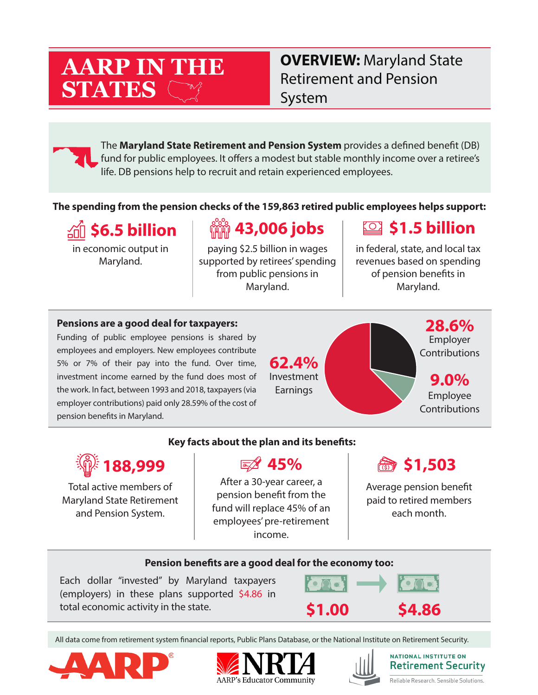# **AARP IN THE STATES**

**OVERVIEW:** Maryland State Retirement and Pension System

The **Maryland State Retirement and Pension System** provides a defined benefit (DB) fund for public employees. It offers a modest but stable monthly income over a retiree's life. DB pensions help to recruit and retain experienced employees.

#### **The spending from the pension checks of the 159,863 retired public employees helps support:**

**\$6.5 billion**

in economic output in Maryland.

# **43,006 jobs**

paying \$2.5 billion in wages supported by retirees' spending from public pensions in Maryland.

### **\$1.5 billion**

in federal, state, and local tax revenues based on spending of pension benefits in Maryland.

#### **Pensions are a good deal for taxpayers:**

Funding of public employee pensions is shared by employees and employers. New employees contribute 5% or 7% of their pay into the fund. Over time, investment income earned by the fund does most of the work. In fact, between 1993 and 2018, taxpayers (via employer contributions) paid only 28.59% of the cost of pension benefits in Maryland.

**62.4%** Investment Earnings

**28.6%** Employer Contributions

**9.0%** Employee Contributions

# **188,999**

Total active members of Maryland State Retirement and Pension System.

**Key facts about the plan and its benefits:**

After a 30-year career, a pension benefit from the fund will replace 45% of an employees' pre-retirement income.

### **45% \$1,503**

Average pension benefit paid to retired members each month.

#### **Pension benefits are a good deal for the economy too:**

Each dollar "invested" by Maryland taxpayers (employers) in these plans supported \$4.86 in total economic activity in the state. **\$1.00 \$4.86**



All data come from retirement system financial reports, Public Plans Database, or the National Institute on Retirement Security.







**NATIONAL INSTITUTE ON Retirement Security** Reliable Research. Sensible Solutions.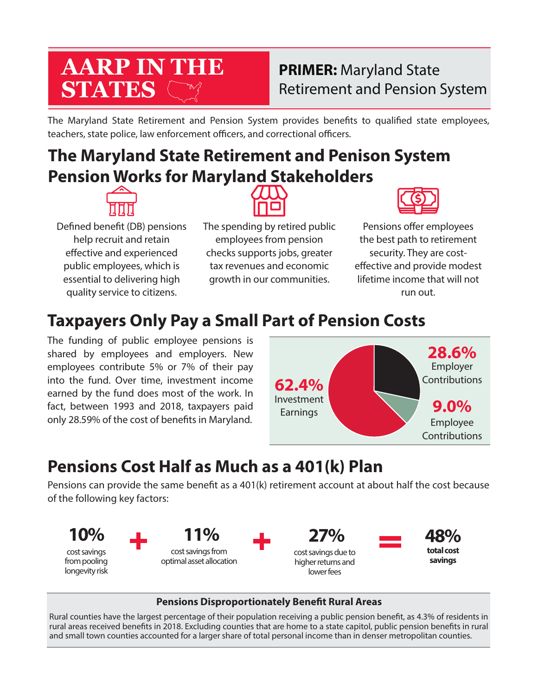# **AARP IN THE STATES**

### **PRIMER:** Maryland State Retirement and Pension System

The Maryland State Retirement and Pension System provides benefits to qualified state employees, teachers, state police, law enforcement officers, and correctional officers.

# **The Maryland State Retirement and Penison System Pension Works for Maryland Stakeholders**



Defined benefit (DB) pensions help recruit and retain effective and experienced public employees, which is essential to delivering high quality service to citizens.

The spending by retired public employees from pension checks supports jobs, greater tax revenues and economic growth in our communities.



Pensions offer employees the best path to retirement security. They are costeffective and provide modest lifetime income that will not run out.

# **Taxpayers Only Pay a Small Part of Pension Costs**

The funding of public employee pensions is shared by employees and employers. New employees contribute 5% or 7% of their pay into the fund. Over time, investment income earned by the fund does most of the work. In fact, between 1993 and 2018, taxpayers paid only 28.59% of the cost of benefits in Maryland.



# **Pensions Cost Half as Much as a 401(k) Plan**

Pensions can provide the same benefit as a 401(k) retirement account at about half the cost because of the following key factors:



#### **Pensions Disproportionately Benefit Rural Areas**

Rural counties have the largest percentage of their population receiving a public pension benefit, as 4.3% of residents in rural areas received benefits in 2018. Excluding counties that are home to a state capitol, public pension benefits in rural and small town counties accounted for a larger share of total personal income than in denser metropolitan counties.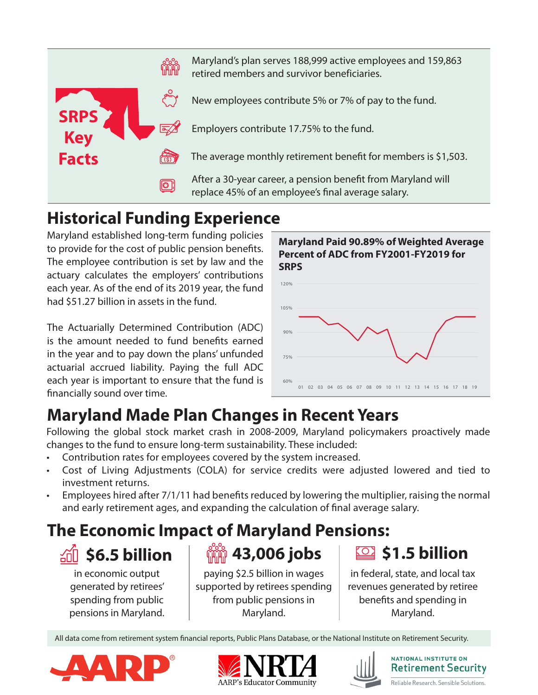

Maryland's plan serves 188,999 active employees and 159,863 retired members and survivor beneficiaries.

New employees contribute 5% or 7% of pay to the fund.

Employers contribute 17.75% to the fund.

The average monthly retirement benefit for members is \$1,503.

After a 30-year career, a pension benefit from Maryland will replace 45% of an employee's final average salary.

# **Historical Funding Experience**

Maryland established long-term funding policies to provide for the cost of public pension benefits. The employee contribution is set by law and the actuary calculates the employers' contributions each year. As of the end of its 2019 year, the fund had \$51.27 billion in assets in the fund.

The Actuarially Determined Contribution (ADC) is the amount needed to fund benefits earned in the year and to pay down the plans' unfunded actuarial accrued liability. Paying the full ADC each year is important to ensure that the fund is financially sound over time.



# **Maryland Made Plan Changes in Recent Years**

Following the global stock market crash in 2008-2009, Maryland policymakers proactively made changes to the fund to ensure long-term sustainability. These included:

- Contribution rates for employees covered by the system increased.
- Cost of Living Adjustments (COLA) for service credits were adjusted lowered and tied to investment returns.
- Employees hired after 7/1/11 had benefits reduced by lowering the multiplier, raising the normal and early retirement ages, and expanding the calculation of final average salary.

# **The Economic Impact of Maryland Pensions:**

# **\$6.5 billion**

in economic output generated by retirees' spending from public pensions in Maryland.

paying \$2.5 billion in wages supported by retirees spending from public pensions in Maryland.

*iiii* **43,006 jobs** 

**\$1.5 billion** <u>LO J</u>

in federal, state, and local tax revenues generated by retiree benefits and spending in Maryland.

All data come from retirement system financial reports, Public Plans Database, or the National Institute on Retirement Security.







NATIONAL INSTITUTE ON **Retirement Security** Reliable Research. Sensible Solutions.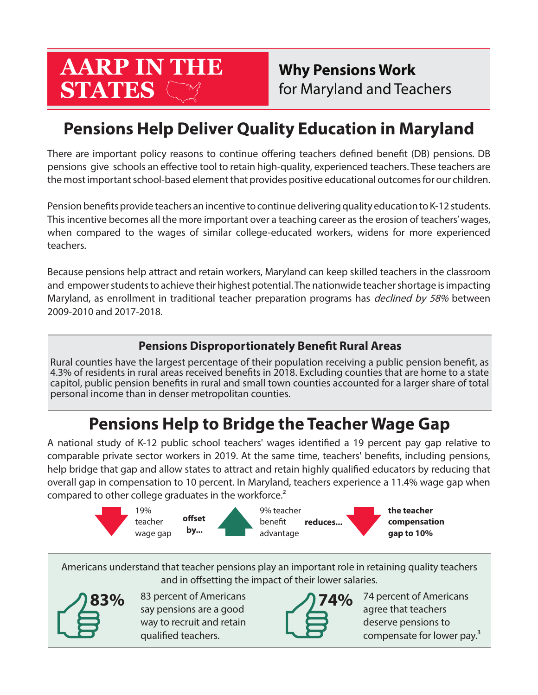# **AARP IN THE STATES**

**Why Pensions Work** for Maryland and Teachers

# **Pensions Help Deliver Quality Education in Maryland**

There are important policy reasons to continue offering teachers defined benefit (DB) pensions. DB pensions give schools an effective tool to retain high-quality, experienced teachers. These teachers are the most important school-based element that provides positive educational outcomes for our children.

Pension benefits provide teachers an incentive to continue delivering quality education to K-12 students. This incentive becomes all the more important over a teaching career as the erosion of teachers' wages, when compared to the wages of similar college-educated workers, widens for more experienced teachers.

Because pensions help attract and retain workers, Maryland can keep skilled teachers in the classroom and empower students to achieve their highest potential. The nationwide teacher shortage is impacting Maryland, as enrollment in traditional teacher preparation programs has *declined by 58%* between 2009-2010 and 2017-2018.

### **Pensions Disproportionately Benefit Rural Areas**

Rural counties have the largest percentage of their population receiving a public pension benefit, as 4.3% of residents in rural areas received benefits in 2018. Excluding counties that are home to a state capitol, public pension benefits in rural and small town counties accounted for a larger share of total personal income than in denser metropolitan counties.

# **Pensions Help to Bridge the Teacher Wage Gap**

A national study of K-12 public school teachers' wages identified a 19 percent pay gap relative to comparable private sector workers in 2019. At the same time, teachers' benefits, including pensions, help bridge that gap and allow states to attract and retain highly qualified educators by reducing that overall gap in compensation to 10 percent. In Maryland, teachers experience a 11.4% wage gap when compared to other college graduates in the workforce.<sup>2</sup>



Americans understand that teacher pensions play an important role in retaining quality teachers and in offsetting the impact of their lower salaries.



83 percent of Americans say pensions are a good way to recruit and retain qualified teachers.



74 percent of Americans agree that teachers deserve pensions to compensate for lower pay.<sup>3</sup>